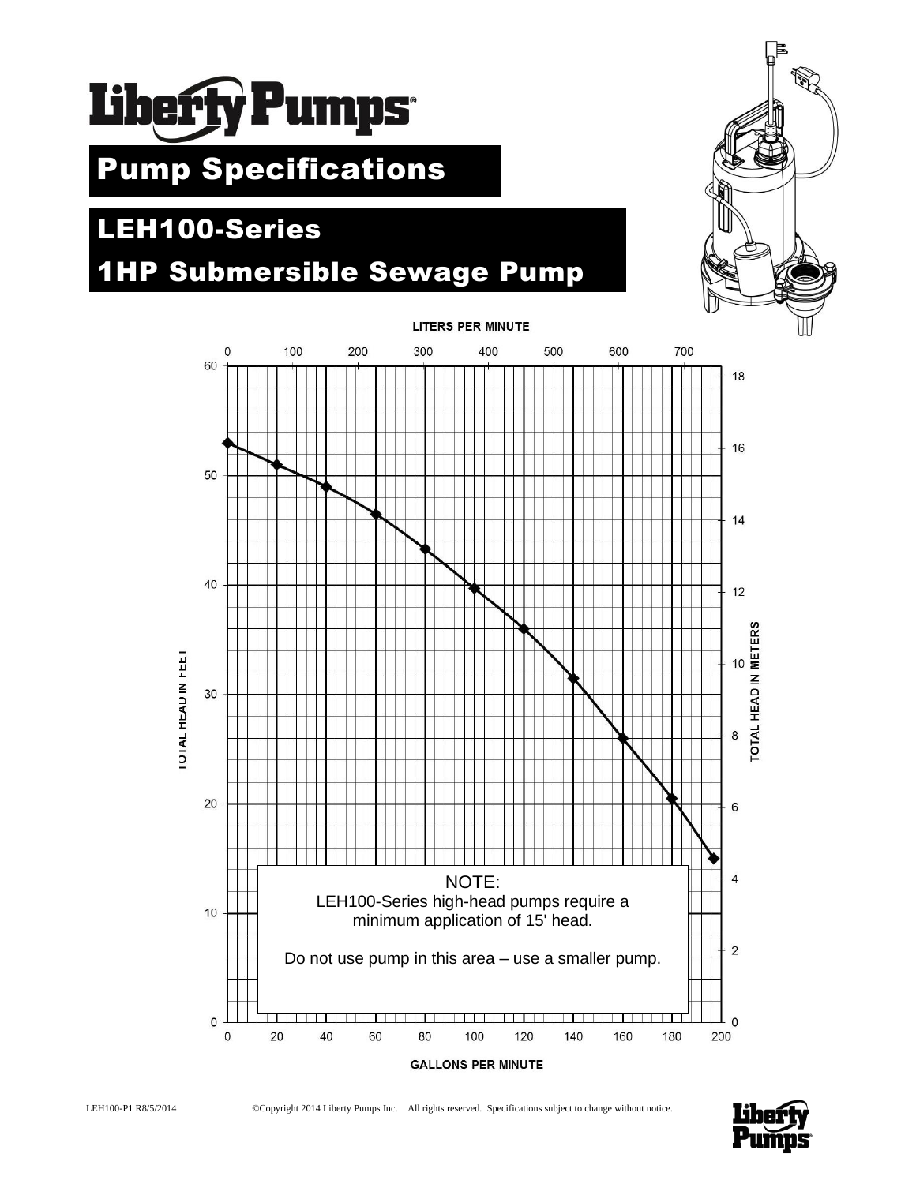

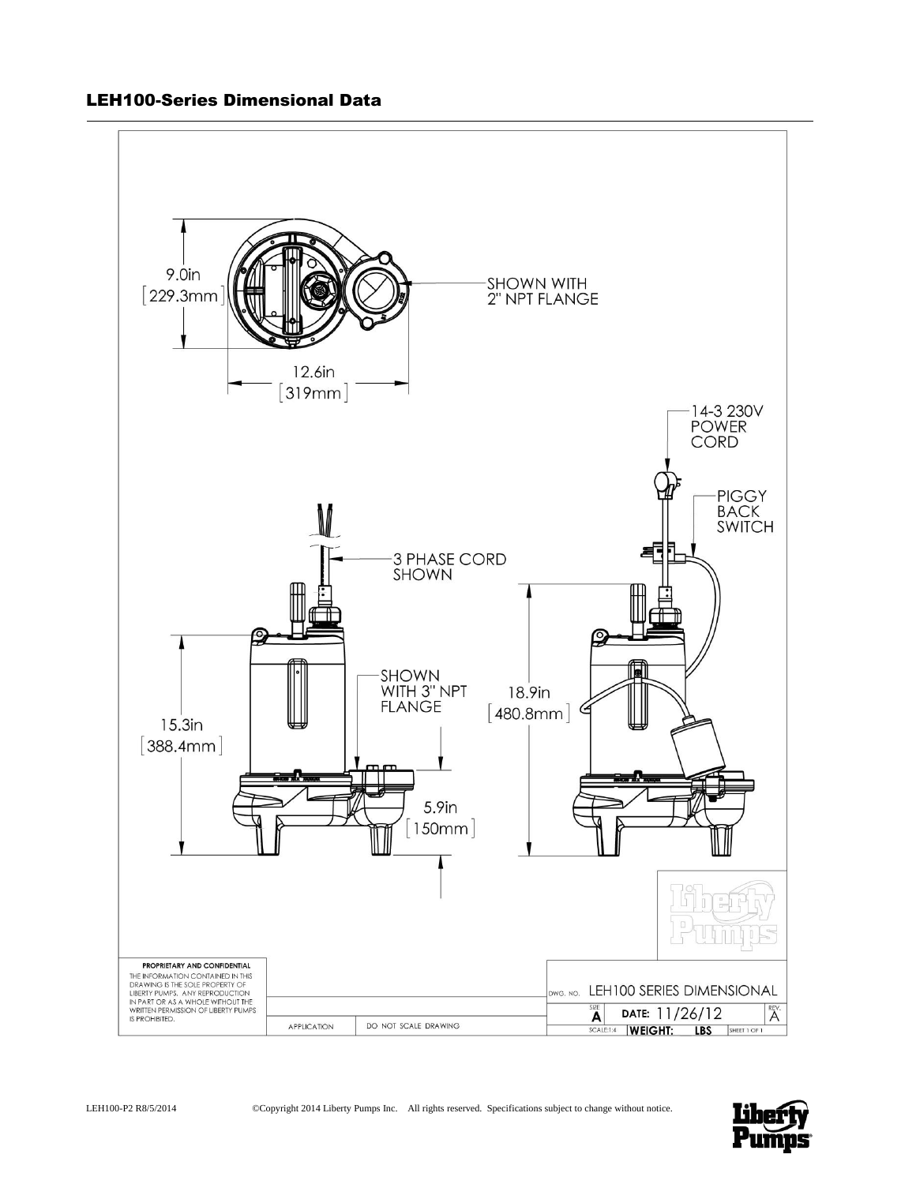

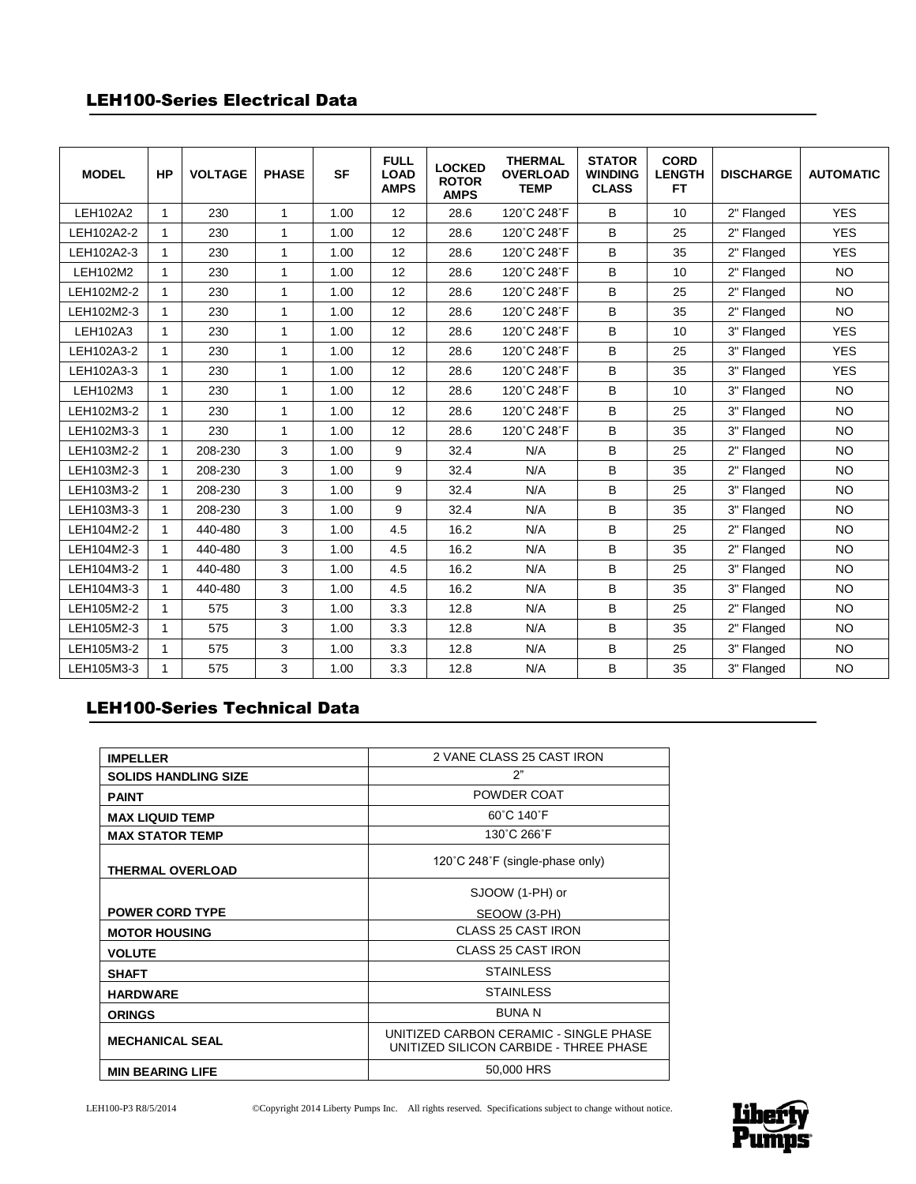## LEH100-Series Electrical Data

| <b>MODEL</b>    | <b>HP</b>    | <b>VOLTAGE</b> | <b>PHASE</b> | <b>SF</b> | <b>FULL</b><br><b>LOAD</b><br><b>AMPS</b> | <b>LOCKED</b><br><b>ROTOR</b><br><b>AMPS</b> | <b>THERMAL</b><br><b>OVERLOAD</b><br><b>TEMP</b> | <b>STATOR</b><br><b>WINDING</b><br><b>CLASS</b> | <b>CORD</b><br><b>LENGTH</b><br>FT. | <b>DISCHARGE</b> | <b>AUTOMATIC</b> |
|-----------------|--------------|----------------|--------------|-----------|-------------------------------------------|----------------------------------------------|--------------------------------------------------|-------------------------------------------------|-------------------------------------|------------------|------------------|
| <b>LEH102A2</b> | $\mathbf{1}$ | 230            | $\mathbf{1}$ | 1.00      | 12                                        | 28.6                                         | 120°C 248°F                                      | B                                               | 10                                  | 2" Flanged       | <b>YES</b>       |
| LEH102A2-2      | $\mathbf{1}$ | 230            | $\mathbf{1}$ | 1.00      | 12                                        | 28.6                                         | 120°C 248°F                                      | B                                               | 25                                  | 2" Flanged       | <b>YES</b>       |
| LEH102A2-3      | 1            | 230            | $\mathbf{1}$ | 1.00      | 12                                        | 28.6                                         | 120°C 248°F                                      | В                                               | 35                                  | 2" Flanged       | <b>YES</b>       |
| LEH102M2        | $\mathbf{1}$ | 230            | $\mathbf{1}$ | 1.00      | 12                                        | 28.6                                         | 120°C 248°F                                      | B                                               | 10                                  | 2" Flanged       | <b>NO</b>        |
| LEH102M2-2      | $\mathbf{1}$ | 230            | $\mathbf{1}$ | 1.00      | 12                                        | 28.6                                         | 120°C 248°F                                      | B                                               | 25                                  | 2" Flanged       | <b>NO</b>        |
| LEH102M2-3      | $\mathbf{1}$ | 230            | $\mathbf{1}$ | 1.00      | 12                                        | 28.6                                         | 120°C 248°F                                      | B                                               | 35                                  | 2" Flanged       | <b>NO</b>        |
| LEH102A3        |              | 230            | $\mathbf{1}$ | 1.00      | 12                                        | 28.6                                         | 120°C 248°F                                      | B                                               | 10                                  | 3" Flanged       | <b>YES</b>       |
| LEH102A3-2      | 1            | 230            | 1            | 1.00      | 12                                        | 28.6                                         | 120°C 248°F                                      | B                                               | 25                                  | 3" Flanged       | <b>YES</b>       |
| LEH102A3-3      | $\mathbf{1}$ | 230            | $\mathbf{1}$ | 1.00      | 12                                        | 28.6                                         | 120°C 248°F                                      | B                                               | 35                                  | 3" Flanged       | <b>YES</b>       |
| LEH102M3        | $\mathbf{1}$ | 230            | $\mathbf{1}$ | 1.00      | 12                                        | 28.6                                         | 120°C 248°F                                      | B                                               | 10                                  | 3" Flanged       | <b>NO</b>        |
| LEH102M3-2      | $\mathbf{1}$ | 230            | $\mathbf{1}$ | 1.00      | 12                                        | 28.6                                         | 120°C 248°F                                      | В                                               | 25                                  | 3" Flanged       | <b>NO</b>        |
| LEH102M3-3      | 1            | 230            | $\mathbf{1}$ | 1.00      | 12                                        | 28.6                                         | 120°C 248°F                                      | B                                               | 35                                  | 3" Flanged       | <b>NO</b>        |
| LEH103M2-2      | $\mathbf{1}$ | 208-230        | 3            | 1.00      | 9                                         | 32.4                                         | N/A                                              | B                                               | 25                                  | 2" Flanged       | <b>NO</b>        |
| LEH103M2-3      | $\mathbf{1}$ | 208-230        | 3            | 1.00      | 9                                         | 32.4                                         | N/A                                              | B                                               | 35                                  | 2" Flanged       | <b>NO</b>        |
| LEH103M3-2      | 1            | 208-230        | 3            | 1.00      | 9                                         | 32.4                                         | N/A                                              | В                                               | 25                                  | 3" Flanged       | <b>NO</b>        |
| LEH103M3-3      | 1            | 208-230        | 3            | 1.00      | 9                                         | 32.4                                         | N/A                                              | B                                               | 35                                  | 3" Flanged       | <b>NO</b>        |
| LEH104M2-2      | $\mathbf{1}$ | 440-480        | 3            | 1.00      | 4.5                                       | 16.2                                         | N/A                                              | B                                               | 25                                  | 2" Flanged       | <b>NO</b>        |
| LEH104M2-3      | $\mathbf{1}$ | 440-480        | 3            | 1.00      | 4.5                                       | 16.2                                         | N/A                                              | B                                               | 35                                  | 2" Flanged       | <b>NO</b>        |
| LEH104M3-2      | 1            | 440-480        | 3            | 1.00      | 4.5                                       | 16.2                                         | N/A                                              | В                                               | 25                                  | 3" Flanged       | <b>NO</b>        |
| LEH104M3-3      |              | 440-480        | 3            | 1.00      | 4.5                                       | 16.2                                         | N/A                                              | B                                               | 35                                  | 3" Flanged       | <b>NO</b>        |
| LEH105M2-2      | $\mathbf{1}$ | 575            | 3            | 1.00      | 3.3                                       | 12.8                                         | N/A                                              | B                                               | 25                                  | 2" Flanged       | <b>NO</b>        |
| LEH105M2-3      | $\mathbf{1}$ | 575            | 3            | 1.00      | 3.3                                       | 12.8                                         | N/A                                              | B                                               | 35                                  | 2" Flanged       | <b>NO</b>        |
| LEH105M3-2      | 1            | 575            | 3            | 1.00      | 3.3                                       | 12.8                                         | N/A                                              | В                                               | 25                                  | 3" Flanged       | <b>NO</b>        |
| LEH105M3-3      | 1            | 575            | 3            | 1.00      | 3.3                                       | 12.8                                         | N/A                                              | B                                               | 35                                  | 3" Flanged       | <b>NO</b>        |

# LEH100-Series Technical Data

| <b>IMPELLER</b>             | 2 VANE CLASS 25 CAST IRON                                                        |  |  |  |  |
|-----------------------------|----------------------------------------------------------------------------------|--|--|--|--|
| <b>SOLIDS HANDLING SIZE</b> | 2"                                                                               |  |  |  |  |
| <b>PAINT</b>                | POWDER COAT                                                                      |  |  |  |  |
| <b>MAX LIQUID TEMP</b>      | 60°C 140°F                                                                       |  |  |  |  |
| <b>MAX STATOR TEMP</b>      | 130°C 266°F                                                                      |  |  |  |  |
| <b>THERMAL OVERLOAD</b>     | 120°C 248°F (single-phase only)                                                  |  |  |  |  |
|                             | SJOOW (1-PH) or                                                                  |  |  |  |  |
| <b>POWER CORD TYPE</b>      | SEOOW (3-PH)                                                                     |  |  |  |  |
| <b>MOTOR HOUSING</b>        | <b>CLASS 25 CAST IRON</b>                                                        |  |  |  |  |
| <b>VOLUTE</b>               | CLASS 25 CAST IRON                                                               |  |  |  |  |
| <b>SHAFT</b>                | <b>STAINLESS</b>                                                                 |  |  |  |  |
| <b>HARDWARE</b>             | <b>STAINLESS</b>                                                                 |  |  |  |  |
| <b>ORINGS</b>               | <b>BUNA N</b>                                                                    |  |  |  |  |
| <b>MECHANICAL SEAL</b>      | UNITIZED CARBON CERAMIC - SINGLE PHASE<br>UNITIZED SILICON CARBIDE - THREE PHASE |  |  |  |  |
| <b>MIN BEARING LIFE</b>     | 50,000 HRS                                                                       |  |  |  |  |

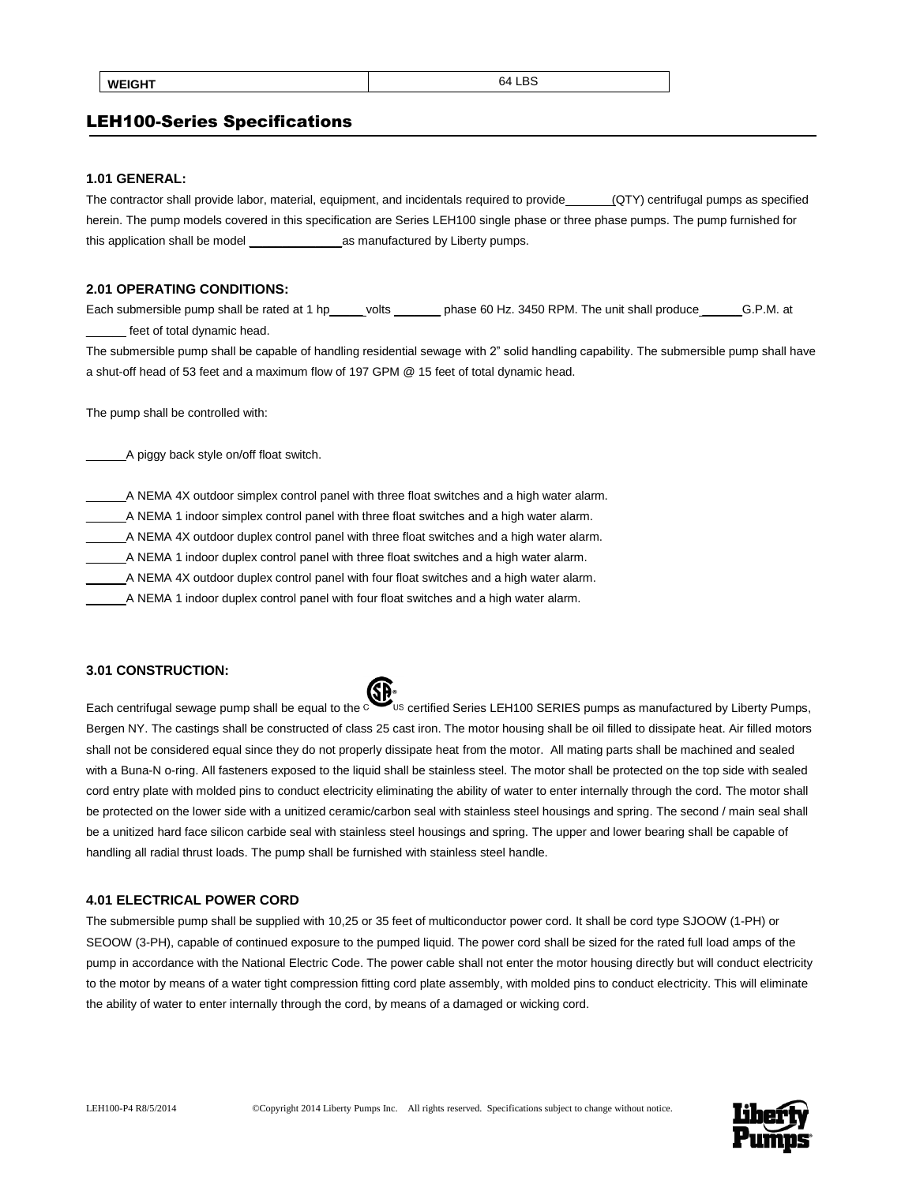## LEH100-Series Specifications

#### **1.01 GENERAL:**

The contractor shall provide labor, material, equipment, and incidentals required to provide (QTY) centrifugal pumps as specified herein. The pump models covered in this specification are Series LEH100 single phase or three phase pumps. The pump furnished for this application shall be model \_\_\_\_\_\_\_\_\_\_\_\_\_\_as manufactured by Liberty pumps.

#### **2.01 OPERATING CONDITIONS:**

Each submersible pump shall be rated at 1 hp\_\_\_\_\_ volts \_\_\_\_\_\_\_ phase 60 Hz. 3450 RPM. The unit shall produce \_\_\_\_\_\_G.P.M. at feet of total dynamic head.

The submersible pump shall be capable of handling residential sewage with 2" solid handling capability. The submersible pump shall have a shut-off head of 53 feet and a maximum flow of 197 GPM @ 15 feet of total dynamic head.

The pump shall be controlled with:

\_\_\_\_\_\_A piggy back style on/off float switch.

\_\_\_\_\_\_A NEMA 4X outdoor simplex control panel with three float switches and a high water alarm.

\_\_\_\_\_\_A NEMA 1 indoor simplex control panel with three float switches and a high water alarm.

\_\_\_\_\_\_A NEMA 4X outdoor duplex control panel with three float switches and a high water alarm.

\_\_\_\_\_\_A NEMA 1 indoor duplex control panel with three float switches and a high water alarm.

A NEMA 4X outdoor duplex control panel with four float switches and a high water alarm.

\_\_\_\_\_\_A NEMA 1 indoor duplex control panel with four float switches and a high water alarm.

## **3.01 CONSTRUCTION:**



Each centrifugal sewage pump shall be equal to the curre us certified Series LEH100 SERIES pumps as manufactured by Liberty Pumps, Bergen NY. The castings shall be constructed of class 25 cast iron. The motor housing shall be oil filled to dissipate heat. Air filled motors shall not be considered equal since they do not properly dissipate heat from the motor. All mating parts shall be machined and sealed with a Buna-N o-ring. All fasteners exposed to the liquid shall be stainless steel. The motor shall be protected on the top side with sealed cord entry plate with molded pins to conduct electricity eliminating the ability of water to enter internally through the cord. The motor shall be protected on the lower side with a unitized ceramic/carbon seal with stainless steel housings and spring. The second / main seal shall be a unitized hard face silicon carbide seal with stainless steel housings and spring. The upper and lower bearing shall be capable of handling all radial thrust loads. The pump shall be furnished with stainless steel handle.

#### **4.01 ELECTRICAL POWER CORD**

The submersible pump shall be supplied with 10,25 or 35 feet of multiconductor power cord. It shall be cord type SJOOW (1-PH) or SEOOW (3-PH), capable of continued exposure to the pumped liquid. The power cord shall be sized for the rated full load amps of the pump in accordance with the National Electric Code. The power cable shall not enter the motor housing directly but will conduct electricity to the motor by means of a water tight compression fitting cord plate assembly, with molded pins to conduct electricity. This will eliminate the ability of water to enter internally through the cord, by means of a damaged or wicking cord.

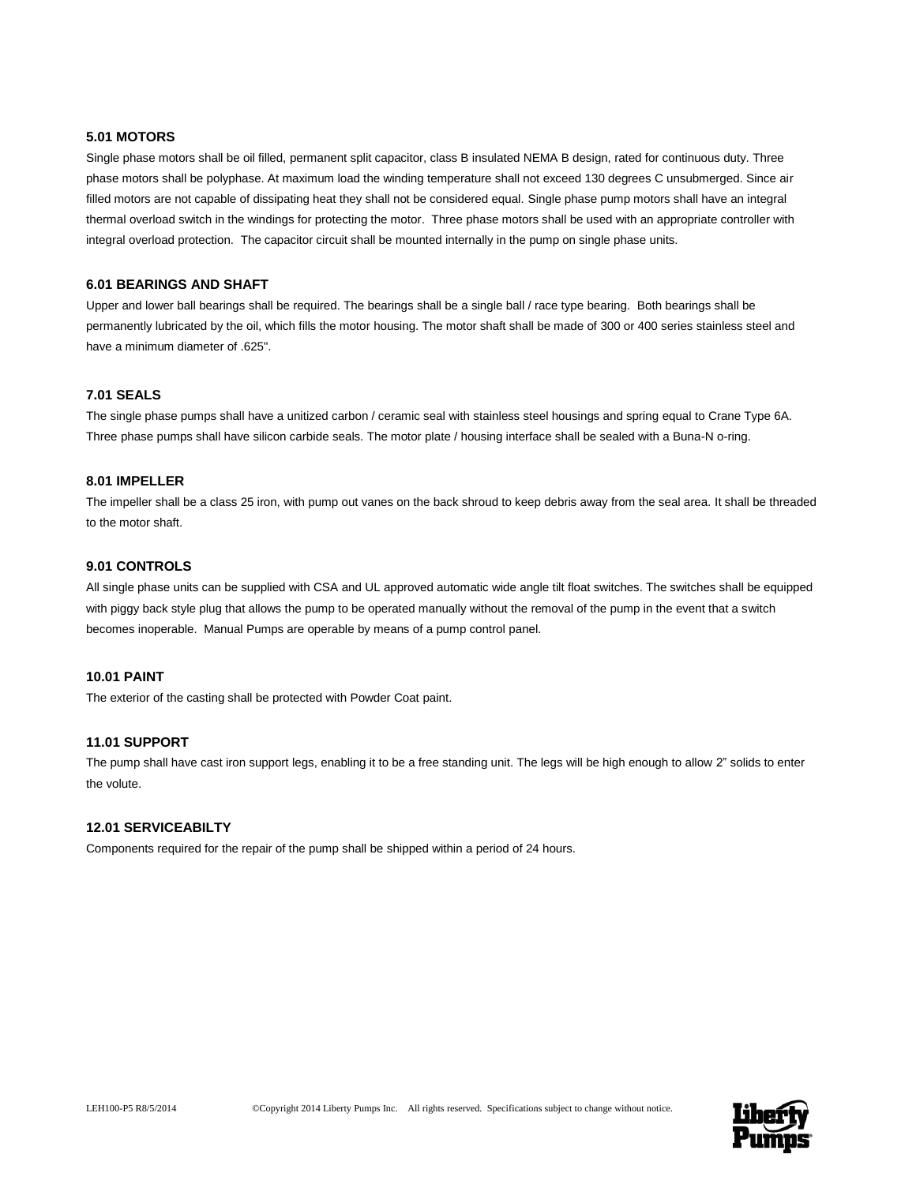## **5.01 MOTORS**

Single phase motors shall be oil filled, permanent split capacitor, class B insulated NEMA B design, rated for continuous duty. Three phase motors shall be polyphase. At maximum load the winding temperature shall not exceed 130 degrees C unsubmerged. Since air filled motors are not capable of dissipating heat they shall not be considered equal. Single phase pump motors shall have an integral thermal overload switch in the windings for protecting the motor. Three phase motors shall be used with an appropriate controller with integral overload protection. The capacitor circuit shall be mounted internally in the pump on single phase units.

#### **6.01 BEARINGS AND SHAFT**

Upper and lower ball bearings shall be required. The bearings shall be a single ball / race type bearing. Both bearings shall be permanently lubricated by the oil, which fills the motor housing. The motor shaft shall be made of 300 or 400 series stainless steel and have a minimum diameter of .625".

## **7.01 SEALS**

The single phase pumps shall have a unitized carbon / ceramic seal with stainless steel housings and spring equal to Crane Type 6A. Three phase pumps shall have silicon carbide seals. The motor plate / housing interface shall be sealed with a Buna-N o-ring.

#### **8.01 IMPELLER**

The impeller shall be a class 25 iron, with pump out vanes on the back shroud to keep debris away from the seal area. It shall be threaded to the motor shaft.

## **9.01 CONTROLS**

All single phase units can be supplied with CSA and UL approved automatic wide angle tilt float switches. The switches shall be equipped with piggy back style plug that allows the pump to be operated manually without the removal of the pump in the event that a switch becomes inoperable. Manual Pumps are operable by means of a pump control panel.

## **10.01 PAINT**

The exterior of the casting shall be protected with Powder Coat paint.

## **11.01 SUPPORT**

The pump shall have cast iron support legs, enabling it to be a free standing unit. The legs will be high enough to allow 2" solids to enter the volute.

#### **12.01 SERVICEABILTY**

Components required for the repair of the pump shall be shipped within a period of 24 hours.